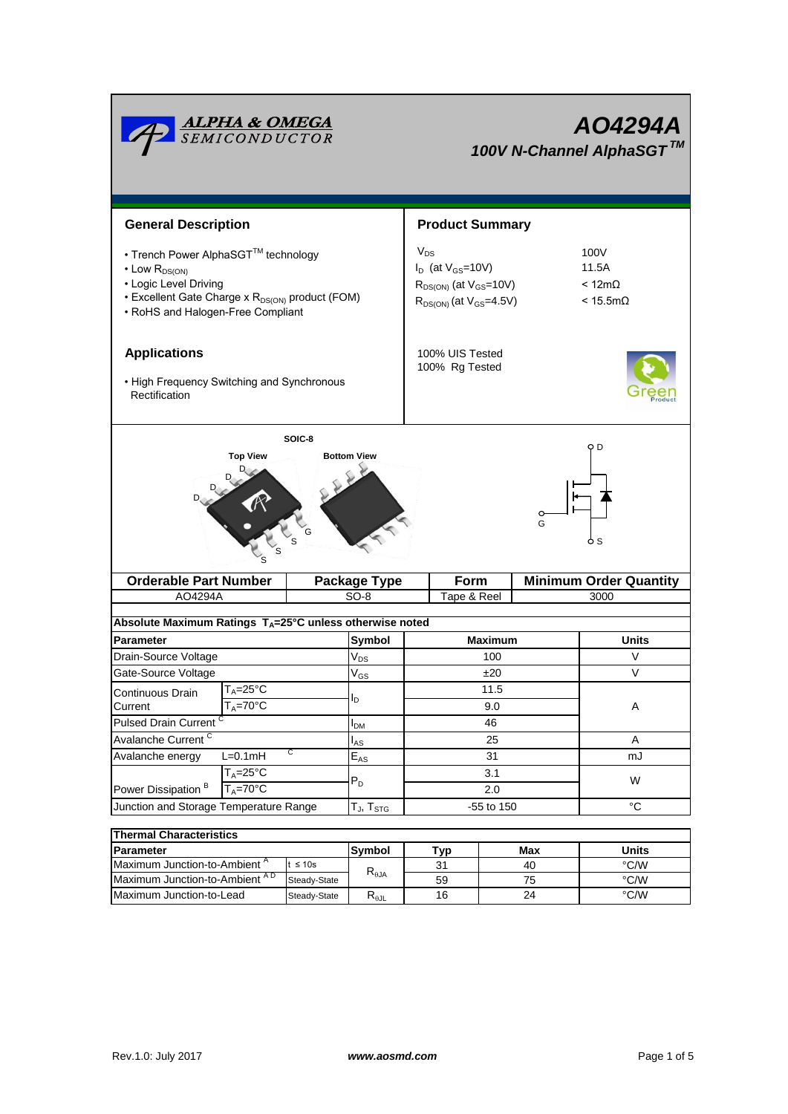| <b>ALPHA &amp; OMEGA</b><br>SEMICONDUCTOR                                                                                                                                                    |                     | AO4294A<br>100V N-Channel AlphaSGT™                                                                         |                            |             |                                                           |                |               |                               |  |  |
|----------------------------------------------------------------------------------------------------------------------------------------------------------------------------------------------|---------------------|-------------------------------------------------------------------------------------------------------------|----------------------------|-------------|-----------------------------------------------------------|----------------|---------------|-------------------------------|--|--|
| <b>General Description</b>                                                                                                                                                                   |                     |                                                                                                             | <b>Product Summary</b>     |             |                                                           |                |               |                               |  |  |
|                                                                                                                                                                                              |                     |                                                                                                             |                            |             |                                                           |                |               |                               |  |  |
| • Trench Power AlphaSGT™ technology<br>$\cdot$ Low $R_{DS(ON)}$<br>• Logic Level Driving<br>• Excellent Gate Charge x R <sub>DS(ON)</sub> product (FOM)<br>• RoHS and Halogen-Free Compliant |                     | $V_{DS}$<br>$I_D$ (at $V_{GS}$ =10V)<br>$R_{DS(ON)}$ (at $V_{GS}$ =10V)<br>$R_{DS(ON)}$ (at $V_{GS}$ =4.5V) |                            |             | 100V<br>11.5A<br>$< 12 \text{m}\Omega$<br>$< 15.5m\Omega$ |                |               |                               |  |  |
| <b>Applications</b><br>• High Frequency Switching and Synchronous<br>Rectification                                                                                                           |                     | 100% UIS Tested<br>100% Rg Tested                                                                           |                            |             |                                                           |                |               |                               |  |  |
| SOIC-8<br>o d<br><b>Top View</b><br><b>Bottom View</b>                                                                                                                                       |                     |                                                                                                             |                            |             |                                                           |                |               |                               |  |  |
| G                                                                                                                                                                                            |                     |                                                                                                             |                            |             |                                                           |                |               |                               |  |  |
| <b>Orderable Part Number</b>                                                                                                                                                                 |                     |                                                                                                             | <b>Package Type</b>        |             | Form                                                      |                |               | <b>Minimum Order Quantity</b> |  |  |
|                                                                                                                                                                                              | $SO-8$<br>AO4294A   |                                                                                                             |                            | Tape & Reel |                                                           |                |               | 3000                          |  |  |
| Absolute Maximum Ratings T <sub>A</sub> =25°C unless otherwise noted                                                                                                                         |                     |                                                                                                             |                            |             |                                                           |                |               |                               |  |  |
|                                                                                                                                                                                              |                     |                                                                                                             | Symbol                     |             |                                                           | <b>Maximum</b> |               | Units                         |  |  |
| Parameter<br>Drain-Source Voltage                                                                                                                                                            |                     |                                                                                                             | $V_{DS}$                   | 100         |                                                           |                | V             |                               |  |  |
| Gate-Source Voltage                                                                                                                                                                          |                     |                                                                                                             |                            | ±20         |                                                           |                |               | V                             |  |  |
|                                                                                                                                                                                              | $T_A = 25^{\circ}C$ |                                                                                                             |                            | 11.5        |                                                           |                |               |                               |  |  |
| Continuous Drain<br>$T_A = 70^\circ C$<br>Current                                                                                                                                            |                     |                                                                                                             | $\mathsf{I}_\mathsf{D}$    | 9.0         |                                                           |                |               | Α                             |  |  |
| Pulsed Drain Current <sup>C</sup>                                                                                                                                                            |                     |                                                                                                             | $I_{DM}$                   | 46          |                                                           |                |               |                               |  |  |
| Avalanche Current <sup>C</sup>                                                                                                                                                               | $I_{AS}$            | 25                                                                                                          |                            |             |                                                           | A              |               |                               |  |  |
| С<br>Avalanche energy<br>$L=0.1mH$                                                                                                                                                           |                     |                                                                                                             | $\mathsf{E}_{\mathsf{AS}}$ | 31          |                                                           |                |               | mJ                            |  |  |
|                                                                                                                                                                                              | $T_A = 25$ °C       |                                                                                                             |                            | 3.1         |                                                           |                | W             |                               |  |  |
| Power Dissipation <sup>B</sup><br>$T_A = 70^\circ C$                                                                                                                                         |                     |                                                                                                             | $P_D$                      | 2.0         |                                                           |                |               |                               |  |  |
| Junction and Storage Temperature Range                                                                                                                                                       |                     |                                                                                                             | $T_J$ , $T_{STG}$          | -55 to 150  |                                                           |                |               | $^{\circ}C$                   |  |  |
|                                                                                                                                                                                              |                     |                                                                                                             |                            |             |                                                           |                |               |                               |  |  |
| <b>Thermal Characteristics</b>                                                                                                                                                               |                     |                                                                                                             |                            |             |                                                           |                |               |                               |  |  |
| Parameter                                                                                                                                                                                    |                     |                                                                                                             | Symbol                     |             | Typ                                                       |                | Max           | <b>Units</b>                  |  |  |
| Maximum Junction-to-Ambient A<br>t ≤ 10s                                                                                                                                                     |                     | $R_{\theta$ JA                                                                                              |                            | 31          |                                                           | 40             | °C/W          |                               |  |  |
| Maximum Junction-to-Ambient AD<br>Steady-State                                                                                                                                               |                     |                                                                                                             |                            | 59          |                                                           | 75             | $\degree$ C/W |                               |  |  |
| Maximum Junction-to-Lead<br>Steady-State                                                                                                                                                     |                     | $R_{\theta JL}$                                                                                             |                            | 16          |                                                           | 24             | $\degree$ C/W |                               |  |  |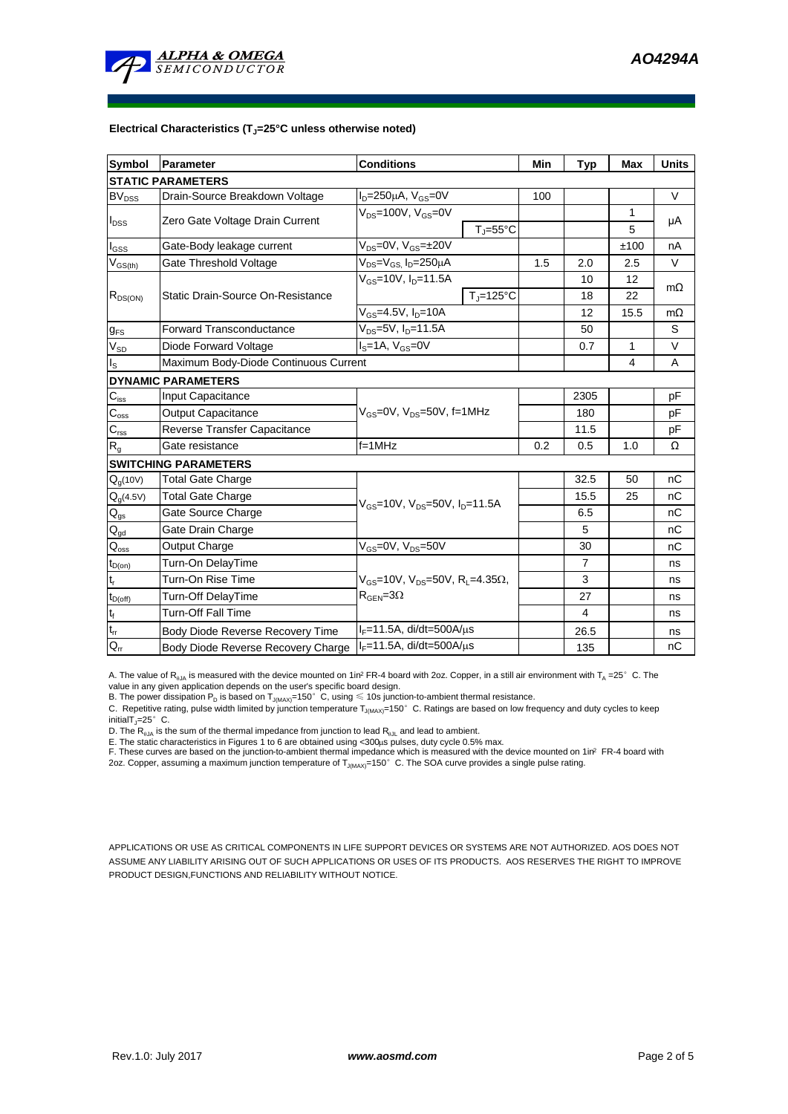

#### **Electrical Characteristics (TJ=25°C unless otherwise noted)**

| <b>Symbol</b>              | <b>Conditions</b><br>Parameter                                                    |                                                                                             |                     |                | <b>Typ</b>     | <b>Max</b> | <b>Units</b> |  |  |  |  |  |
|----------------------------|-----------------------------------------------------------------------------------|---------------------------------------------------------------------------------------------|---------------------|----------------|----------------|------------|--------------|--|--|--|--|--|
| <b>STATIC PARAMETERS</b>   |                                                                                   |                                                                                             |                     |                |                |            |              |  |  |  |  |  |
| <b>BV</b> <sub>DSS</sub>   | $I_D = 250 \mu A$ , $V_{GS} = 0V$<br>Drain-Source Breakdown Voltage               |                                                                                             |                     |                |                |            | V            |  |  |  |  |  |
| $I_{\text{DSS}}$           |                                                                                   | $V_{DS}$ =100V, $V_{GS}$ =0V                                                                |                     |                |                | 1          |              |  |  |  |  |  |
|                            | Zero Gate Voltage Drain Current                                                   |                                                                                             | $T_J = 55^{\circ}C$ |                | 5              |            | μA           |  |  |  |  |  |
| $I_{GSS}$                  | Gate-Body leakage current                                                         | $V_{DS} = 0V$ , $V_{GS} = \pm 20V$                                                          |                     |                |                | ±100       | nA           |  |  |  |  |  |
| $V_{GS(th)}$               | Gate Threshold Voltage                                                            | $V_{DS} = V_{GS}$ , $I_D = 250 \mu A$                                                       |                     | 1.5            | 2.0            | 2.5        | $\vee$       |  |  |  |  |  |
| $R_{DS(ON)}$               | Static Drain-Source On-Resistance                                                 | $V_{GS}$ =10V, $I_{D}$ =11.5A                                                               |                     |                | 10             | 12         | mΩ           |  |  |  |  |  |
|                            |                                                                                   |                                                                                             | $T_J = 125$ °C      |                | 18             | 22         |              |  |  |  |  |  |
|                            |                                                                                   | $V_{GS} = 4.5V, I_D = 10A$                                                                  |                     |                | 12             | 15.5       | $m\Omega$    |  |  |  |  |  |
| $g_{FS}$                   | $\overline{V}_{DS}$ =5V, I <sub>D</sub> =11.5A<br><b>Forward Transconductance</b> |                                                                                             |                     |                | 50             |            | S            |  |  |  |  |  |
| $V_{SD}$                   | Diode Forward Voltage                                                             | $IS=1A, VGS=0V$                                                                             |                     |                | 0.7            | 1          | V            |  |  |  |  |  |
| ls.                        | Maximum Body-Diode Continuous Current                                             |                                                                                             |                     | $\overline{4}$ | Α              |            |              |  |  |  |  |  |
|                            | <b>DYNAMIC PARAMETERS</b>                                                         |                                                                                             |                     |                |                |            |              |  |  |  |  |  |
| $C_{iss}$                  | Input Capacitance                                                                 |                                                                                             |                     |                | 2305           |            | рF           |  |  |  |  |  |
| $\mathbf{C}_{\text{oss}}$  | Output Capacitance                                                                | V <sub>GS</sub> =0V, V <sub>DS</sub> =50V, f=1MHz                                           |                     |                | 180            |            | pF           |  |  |  |  |  |
| $\mathbf{C}_{\text{rss}}$  | Reverse Transfer Capacitance                                                      |                                                                                             |                     | 11.5           |                | pF         |              |  |  |  |  |  |
| $R_{g}$                    | $f = 1$ MHz<br>Gate resistance                                                    |                                                                                             |                     | 0.2            | 0.5            | 1.0        | Ω            |  |  |  |  |  |
|                            | <b>SWITCHING PARAMETERS</b>                                                       |                                                                                             |                     |                |                |            |              |  |  |  |  |  |
| $Q_g(10V)$                 | <b>Total Gate Charge</b>                                                          |                                                                                             |                     |                | 32.5           | 50         | nC           |  |  |  |  |  |
| $Q_g(4.5V)$                | Total Gate Charge                                                                 |                                                                                             |                     |                | 15.5           | 25         | nС           |  |  |  |  |  |
| $\mathsf{Q}_{\text{gs}}$   | $V_{GS}$ =10V, $V_{DS}$ =50V, $I_{D}$ =11.5A<br>Gate Source Charge                |                                                                                             |                     |                | 6.5            |            | nC           |  |  |  |  |  |
| $\mathsf{Q}_{\text{gd}}$   | Gate Drain Charge                                                                 |                                                                                             |                     | 5              |                | nC         |              |  |  |  |  |  |
| $Q_{\text{oss}}$           | Output Charge                                                                     | $V_{GS}$ =0V, $V_{DS}$ =50V                                                                 |                     |                | 30             |            | nC           |  |  |  |  |  |
| $t_{D(on)}$                | Turn-On DelayTime                                                                 |                                                                                             |                     |                | $\overline{7}$ |            | ns           |  |  |  |  |  |
| $t_r$                      | Turn-On Rise Time                                                                 | $V_{GS}$ =10V, $V_{DS}$ =50V, R <sub>L</sub> =4.35 $\Omega$ ,<br>$R_{\text{GEN}} = 3\Omega$ |                     |                | 3              |            | ns           |  |  |  |  |  |
| $t_{D(off)}$               | Turn-Off DelayTime                                                                |                                                                                             |                     |                | 27             |            | ns           |  |  |  |  |  |
| $t_f$                      | <b>Turn-Off Fall Time</b>                                                         |                                                                                             |                     | $\overline{4}$ |                | ns         |              |  |  |  |  |  |
| $\mathfrak{t}_{\text{rr}}$ | Body Diode Reverse Recovery Time                                                  | $I_F = 11.5A$ , di/dt=500A/ $\mu$ s                                                         |                     | 26.5           |                | ns         |              |  |  |  |  |  |
| $Q_{rr}$                   | Body Diode Reverse Recovery Charge                                                | $I_F = 11.5A$ , di/dt=500A/us                                                               |                     | 135            |                | nC         |              |  |  |  |  |  |

A. The value of R<sub>aJA</sub> is measured with the device mounted on 1in<sup>2</sup> FR-4 board with 2oz. Copper, in a still air environment with T<sub>A</sub> =25° C. The value in any given application depends on the user's specific board design.

B. The power dissipation  ${\sf P}_{\sf D}$  is based on  ${\sf T}_{\sf J(MAX)}$ =150 $^\circ\,$  C, using  $\leqslant$  10s junction-to-ambient thermal resistance.

C. Repetitive rating, pulse width limited by junction temperature T $_{\rm J(MAX)}$ =150°C. Ratings are based on low frequency and duty cycles to keep initialT $j=25^\circ$  C.

D. The  $R_{q_0A}$  is the sum of the thermal impedance from junction to lead  $R_{q_0L}$  and lead to ambient.

E. The static characteristics in Figures 1 to 6 are obtained using <300µs pulses, duty cycle 0.5% max.<br>F. These curves are based on the junction-to-ambient thermal impedance which is measured with the device mounted on 1in

APPLICATIONS OR USE AS CRITICAL COMPONENTS IN LIFE SUPPORT DEVICES OR SYSTEMS ARE NOT AUTHORIZED. AOS DOES NOT ASSUME ANY LIABILITY ARISING OUT OF SUCH APPLICATIONS OR USES OF ITS PRODUCTS. AOS RESERVES THE RIGHT TO IMPROVE PRODUCT DESIGN,FUNCTIONS AND RELIABILITY WITHOUT NOTICE.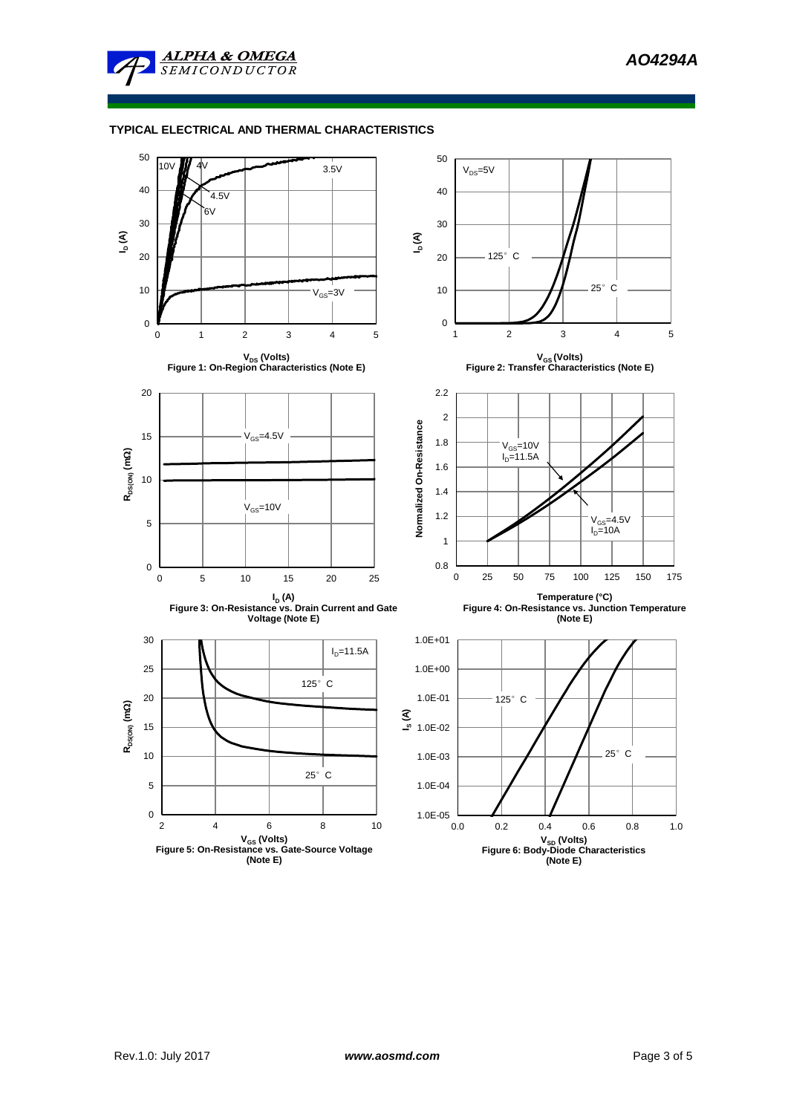

# **TYPICAL ELECTRICAL AND THERMAL CHARACTERISTICS**

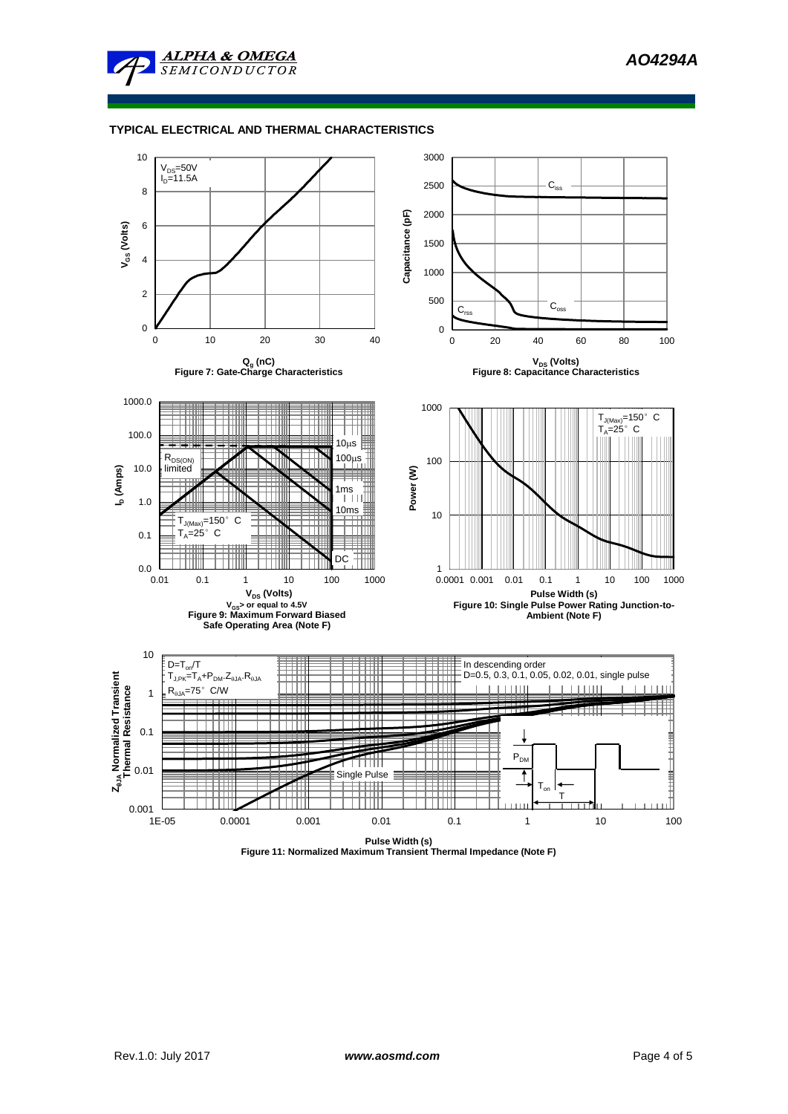

## **TYPICAL ELECTRICAL AND THERMAL CHARACTERISTICS**